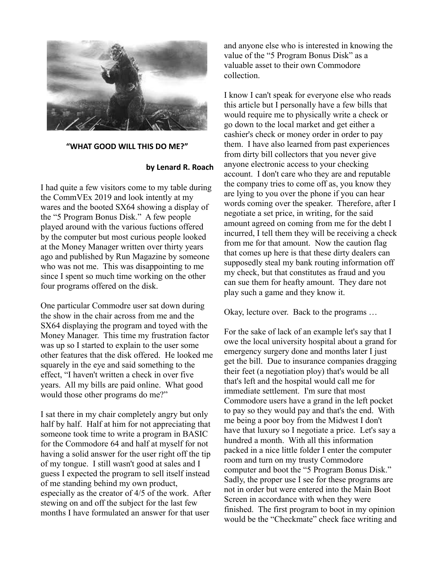

#### **"WHAT GOOD WILL THIS DO ME?"**

#### **by Lenard R. Roach**

I had quite a few visitors come to my table during the CommVEx 2019 and look intently at my wares and the booted SX64 showing a display of the "5 Program Bonus Disk." A few people played around with the various fuctions offered by the computer but most curious people looked at the Money Manager written over thirty years ago and published by Run Magazine by someone who was not me. This was disappointing to me since I spent so much time working on the other four programs offered on the disk.

One particular Commodre user sat down during the show in the chair across from me and the SX64 displaying the program and toyed with the Money Manager. This time my frustration factor was up so I started to explain to the user some other features that the disk offered. He looked me squarely in the eye and said something to the effect, "I haven't written a check in over five years. All my bills are paid online. What good would those other programs do me?"

I sat there in my chair completely angry but only half by half. Half at him for not appreciating that someone took time to write a program in BASIC for the Commodore 64 and half at myself for not having a solid answer for the user right off the tip of my tongue. I still wasn't good at sales and I guess I expected the program to sell itself instead of me standing behind my own product, especially as the creator of 4/5 of the work. After stewing on and off the subject for the last few months I have formulated an answer for that user

and anyone else who is interested in knowing the value of the "5 Program Bonus Disk" as a valuable asset to their own Commodore collection.

I know I can't speak for everyone else who reads this article but I personally have a few bills that would require me to physically write a check or go down to the local market and get either a cashier's check or money order in order to pay them. I have also learned from past experiences from dirty bill collectors that you never give anyone electronic access to your checking account. I don't care who they are and reputable the company tries to come off as, you know they are lying to you over the phone if you can hear words coming over the speaker. Therefore, after I negotiate a set price, in writing, for the said amount agreed on coming from me for the debt I incurred, I tell them they will be receiving a check from me for that amount. Now the caution flag that comes up here is that these dirty dealers can supposedly steal my bank routing information off my check, but that constitutes as fraud and you can sue them for heafty amount. They dare not play such a game and they know it.

Okay, lecture over. Back to the programs …

For the sake of lack of an example let's say that I owe the local university hospital about a grand for emergency surgery done and months later I just get the bill. Due to insurance companies dragging their feet (a negotiation ploy) that's would be all that's left and the hospital would call me for immediate settlement. I'm sure that most Commodore users have a grand in the left pocket to pay so they would pay and that's the end. With me being a poor boy from the Midwest I don't have that luxury so I negotiate a price. Let's say a hundred a month. With all this information packed in a nice little folder I enter the computer room and turn on my trusty Commodore computer and boot the "5 Program Bonus Disk." Sadly, the proper use I see for these programs are not in order but were entered into the Main Boot Screen in accordance with when they were finished. The first program to boot in my opinion would be the "Checkmate" check face writing and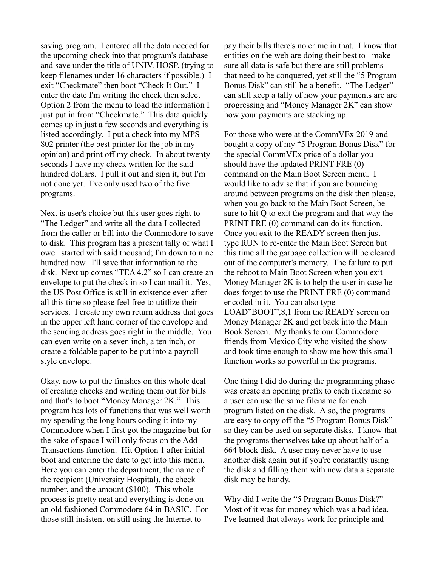saving program. I entered all the data needed for the upcoming check into that program's database and save under the title of UNIV. HOSP. (trying to keep filenames under 16 characters if possible.) I exit "Checkmate" then boot "Check It Out." I enter the date I'm writing the check then select Option 2 from the menu to load the information I just put in from "Checkmate." This data quickly comes up in just a few seconds and everything is listed accordingly. I put a check into my MPS 802 printer (the best printer for the job in my opinion) and print off my check. In about twenty seconds I have my check written for the said hundred dollars. I pull it out and sign it, but I'm not done yet. I've only used two of the five programs.

Next is user's choice but this user goes right to "The Ledger" and write all the data I collected from the caller or bill into the Commodore to save to disk. This program has a present tally of what I owe. started with said thousand; I'm down to nine hundred now. I'll save that information to the disk. Next up comes "TEA 4.2" so I can create an envelope to put the check in so I can mail it. Yes, the US Post Office is still in existence even after all this time so please feel free to utitlize their services. I create my own return address that goes in the upper left hand corner of the envelope and the sending address goes right in the middle. You can even write on a seven inch, a ten inch, or create a foldable paper to be put into a payroll style envelope.

Okay, now to put the finishes on this whole deal of creating checks and writing them out for bills and that's to boot "Money Manager 2K." This program has lots of functions that was well worth my spending the long hours coding it into my Commodore when I first got the magazine but for the sake of space I will only focus on the Add Transactions function. Hit Option 1 after initial boot and entering the date to get into this menu. Here you can enter the department, the name of the recipient (University Hospital), the check number, and the amount (\$100). This whole process is pretty neat and everything is done on an old fashioned Commodore 64 in BASIC. For those still insistent on still using the Internet to

pay their bills there's no crime in that. I know that entities on the web are doing their best to make sure all data is safe but there are still problems that need to be conquered, yet still the "5 Program Bonus Disk" can still be a benefit. "The Ledger" can still keep a tally of how your payments are are progressing and "Money Manager 2K" can show how your payments are stacking up.

For those who were at the CommVEx 2019 and bought a copy of my "5 Program Bonus Disk" for the special CommVEx price of a dollar you should have the updated PRINT FRE (0) command on the Main Boot Screen menu. I would like to advise that if you are bouncing around between programs on the disk then please, when you go back to the Main Boot Screen, be sure to hit Q to exit the program and that way the PRINT FRE (0) command can do its function. Once you exit to the READY screen then just type RUN to re-enter the Main Boot Screen but this time all the garbage collection will be cleared out of the computer's memory. The failure to put the reboot to Main Boot Screen when you exit Money Manager 2K is to help the user in case he does forget to use the PRINT FRE (0) command encoded in it. You can also type LOAD"BOOT",8,1 from the READY screen on Money Manager 2K and get back into the Main Book Screen. My thanks to our Commodore friends from Mexico City who visited the show and took time enough to show me how this small function works so powerful in the programs.

One thing I did do during the programming phase was create an opening prefix to each filename so a user can use the same filename for each program listed on the disk. Also, the programs are easy to copy off the "5 Program Bonus Disk" so they can be used on separate disks. I know that the programs themselves take up about half of a 664 block disk. A user may never have to use another disk again but if you're constantly using the disk and filling them with new data a separate disk may be handy.

Why did I write the "5 Program Bonus Disk?" Most of it was for money which was a bad idea. I've learned that always work for principle and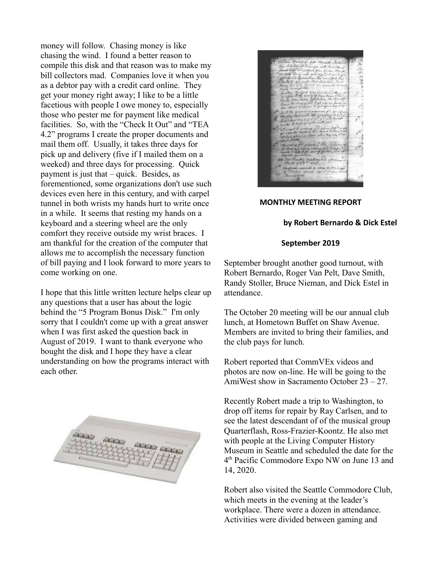money will follow. Chasing money is like chasing the wind. I found a better reason to compile this disk and that reason was to make my bill collectors mad. Companies love it when you as a debtor pay with a credit card online. They get your money right away; I like to be a little facetious with people I owe money to, especially those who pester me for payment like medical facilities. So, with the "Check It Out" and "TEA 4.2" programs I create the proper documents and mail them off. Usually, it takes three days for pick up and delivery (five if I mailed them on a weeked) and three days for processing. Quick payment is just that – quick. Besides, as forementioned, some organizations don't use such devices even here in this century, and with carpel tunnel in both wrists my hands hurt to write once in a while. It seems that resting my hands on a keyboard and a steering wheel are the only comfort they receive outside my wrist braces. I am thankful for the creation of the computer that allows me to accomplish the necessary function of bill paying and I look forward to more years to come working on one.

I hope that this little written lecture helps clear up any questions that a user has about the logic behind the "5 Program Bonus Disk." I'm only sorry that I couldn't come up with a great answer when I was first asked the question back in August of 2019. I want to thank everyone who bought the disk and I hope they have a clear understanding on how the programs interact with each other.



#### **MONTHLY MEETING REPORT**

#### **by Robert Bernardo & Dick Estel**

#### **September 2019**

September brought another good turnout, with Robert Bernardo, Roger Van Pelt, Dave Smith, Randy Stoller, Bruce Nieman, and Dick Estel in attendance.

The October 20 meeting will be our annual club lunch, at Hometown Buffet on Shaw Avenue. Members are invited to bring their families, and the club pays for lunch.

Robert reported that CommVEx videos and photos are now on-line. He will be going to the AmiWest show in Sacramento October 23 – 27.

Recently Robert made a trip to Washington, to drop off items for repair by Ray Carlsen, and to see the latest descendant of of the musical group Quarterflash, Ross-Frazier-Koontz. He also met with people at the Living Computer History Museum in Seattle and scheduled the date for the 4 th Pacific Commodore Expo NW on June 13 and 14, 2020.

Robert also visited the Seattle Commodore Club, which meets in the evening at the leader's workplace. There were a dozen in attendance. Activities were divided between gaming and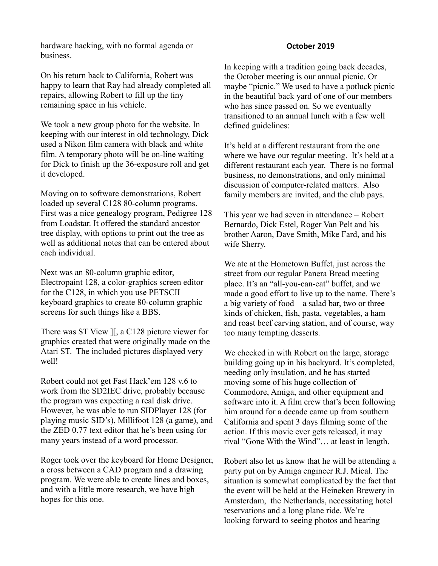hardware hacking, with no formal agenda or business.

On his return back to California, Robert was happy to learn that Ray had already completed all repairs, allowing Robert to fill up the tiny remaining space in his vehicle.

We took a new group photo for the website. In keeping with our interest in old technology, Dick used a Nikon film camera with black and white film. A temporary photo will be on-line waiting for Dick to finish up the 36-exposure roll and get it developed.

Moving on to software demonstrations, Robert loaded up several C128 80-column programs. First was a nice genealogy program, Pedigree 128 from Loadstar. It offered the standard ancestor tree display, with options to print out the tree as well as additional notes that can be entered about each individual.

Next was an 80-column graphic editor, Electropaint 128, a color-graphics screen editor for the C128, in which you use PETSCII keyboard graphics to create 80-column graphic screens for such things like a BBS.

There was ST View ][, a C128 picture viewer for graphics created that were originally made on the Atari ST. The included pictures displayed very well!

Robert could not get Fast Hack'em 128 v.6 to work from the SD2IEC drive, probably because the program was expecting a real disk drive. However, he was able to run SIDPlayer 128 (for playing music SID's), Millifoot 128 (a game), and the ZED 0.77 text editor that he's been using for many years instead of a word processor.

Roger took over the keyboard for Home Designer, a cross between a CAD program and a drawing program. We were able to create lines and boxes, and with a little more research, we have high hopes for this one.

#### **October 2019**

In keeping with a tradition going back decades, the October meeting is our annual picnic. Or maybe "picnic." We used to have a potluck picnic in the beautiful back yard of one of our members who has since passed on. So we eventually transitioned to an annual lunch with a few well defined guidelines:

It's held at a different restaurant from the one where we have our regular meeting. It's held at a different restaurant each year. There is no formal business, no demonstrations, and only minimal discussion of computer-related matters. Also family members are invited, and the club pays.

This year we had seven in attendance – Robert Bernardo, Dick Estel, Roger Van Pelt and his brother Aaron, Dave Smith, Mike Fard, and his wife Sherry.

We ate at the Hometown Buffet, just across the street from our regular Panera Bread meeting place. It's an "all-you-can-eat" buffet, and we made a good effort to live up to the name. There's a big variety of food – a salad bar, two or three kinds of chicken, fish, pasta, vegetables, a ham and roast beef carving station, and of course, way too many tempting desserts.

We checked in with Robert on the large, storage building going up in his backyard. It's completed, needing only insulation, and he has started moving some of his huge collection of Commodore, Amiga, and other equipment and software into it. A film crew that's been following him around for a decade came up from southern California and spent 3 days filming some of the action. If this movie ever gets released, it may rival "Gone With the Wind"… at least in length.

Robert also let us know that he will be attending a party put on by Amiga engineer R.J. Mical. The situation is somewhat complicated by the fact that the event will be held at the Heineken Brewery in Amsterdam, the Netherlands, necessitating hotel reservations and a long plane ride. We're looking forward to seeing photos and hearing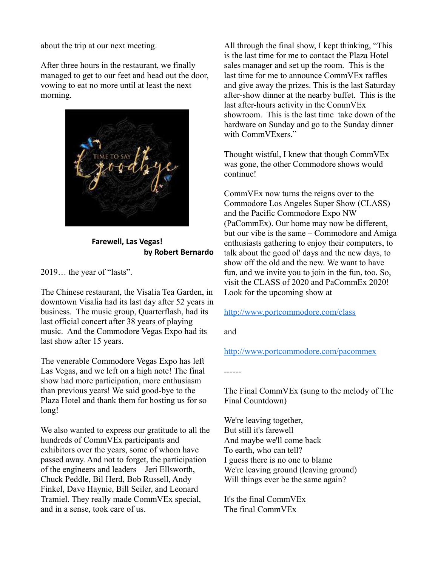about the trip at our next meeting.

After three hours in the restaurant, we finally managed to get to our feet and head out the door, vowing to eat no more until at least the next morning.



**Farewell, Las Vegas! by Robert Bernardo**

2019… the year of "lasts".

The Chinese restaurant, the Visalia Tea Garden, in downtown Visalia had its last day after 52 years in business. The music group, Quarterflash, had its last official concert after 38 years of playing music. And the Commodore Vegas Expo had its last show after 15 years.

The venerable Commodore Vegas Expo has left Las Vegas, and we left on a high note! The final show had more participation, more enthusiasm than previous years! We said good-bye to the Plaza Hotel and thank them for hosting us for so long!

We also wanted to express our gratitude to all the hundreds of CommVEx participants and exhibitors over the years, some of whom have passed away. And not to forget, the participation of the engineers and leaders – Jeri Ellsworth, Chuck Peddle, Bil Herd, Bob Russell, Andy Finkel, Dave Haynie, Bill Seiler, and Leonard Tramiel. They really made CommVEx special, and in a sense, took care of us.

All through the final show, I kept thinking, "This is the last time for me to contact the Plaza Hotel sales manager and set up the room. This is the last time for me to announce CommVEx raffles and give away the prizes. This is the last Saturday after-show dinner at the nearby buffet. This is the last after-hours activity in the CommVEx showroom. This is the last time take down of the hardware on Sunday and go to the Sunday dinner with CommVExers."

Thought wistful, I knew that though CommVEx was gone, the other Commodore shows would continue!

CommVEx now turns the reigns over to the Commodore Los Angeles Super Show (CLASS) and the Pacific Commodore Expo NW (PaCommEx). Our home may now be different, but our vibe is the same – Commodore and Amiga enthusiasts gathering to enjoy their computers, to talk about the good ol' days and the new days, to show off the old and the new. We want to have fun, and we invite you to join in the fun, too. So, visit the CLASS of 2020 and PaCommEx 2020! Look for the upcoming show at

#### <http://www.portcommodore.com/class>

and

------

<http://www.portcommodore.com/pacommex>

The Final CommVEx (sung to the melody of The Final Countdown)

We're leaving together, But still it's farewell And maybe we'll come back To earth, who can tell? I guess there is no one to blame We're leaving ground (leaving ground) Will things ever be the same again?

It's the final CommVEx The final CommVEx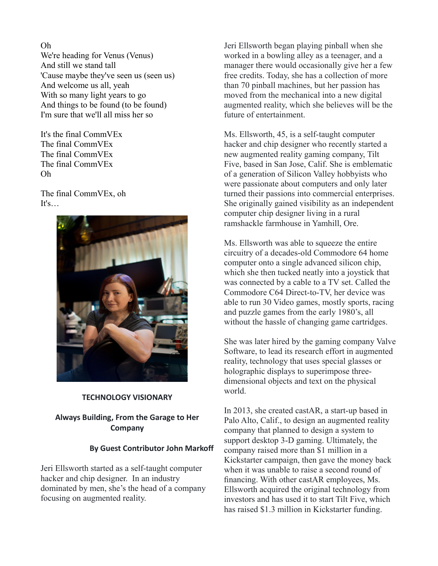Oh We're heading for Venus (Venus) And still we stand tall 'Cause maybe they've seen us (seen us) And welcome us all, yeah With so many light years to go And things to be found (to be found) I'm sure that we'll all miss her so

It's the final CommVEx The final CommVEx The final CommVEx The final CommVEx Oh

The final CommVEx, oh  $It's...$ 



#### **TECHNOLOGY VISIONARY**

# **Always Building, From the Garage to Her Company**

#### **By Guest Contributor John Markoff**

Jeri Ellsworth started as a self-taught computer hacker and chip designer. In an industry dominated by men, she's the head of a company focusing on augmented reality.

Jeri Ellsworth began playing pinball when she worked in a bowling alley as a teenager, and a manager there would occasionally give her a few free credits. Today, she has a collection of more than 70 pinball machines, but her passion has moved from the mechanical into a new digital augmented reality, which she believes will be the future of entertainment.

Ms. Ellsworth, 45, is a self-taught computer hacker and chip designer who recently started a new augmented reality gaming company, Tilt Five, based in San Jose, Calif. She is emblematic of a generation of Silicon Valley hobbyists who were passionate about computers and only later turned their passions into commercial enterprises. She originally gained visibility as an independent computer chip designer living in a rural ramshackle farmhouse in Yamhill, Ore.

Ms. Ellsworth was able to squeeze the entire circuitry of a decades-old Commodore 64 home computer onto a single advanced silicon chip, which she then tucked neatly into a joystick that was connected by a cable to a TV set. Called the Commodore C64 Direct-to-TV, her device was able to run 30 Video games, mostly sports, racing and puzzle games from the early 1980's, all without the hassle of changing game cartridges.

She was later hired by the gaming company Valve Software, to lead its research effort in augmented reality, technology that uses special glasses or holographic displays to superimpose threedimensional objects and text on the physical world.

In 2013, she created castAR, a start-up based in Palo Alto, Calif., to design an augmented reality company that planned to design a system to support desktop 3-D gaming. Ultimately, the company raised more than \$1 million in a Kickstarter campaign, then gave the money back when it was unable to raise a second round of financing. With other castAR employees, Ms. Ellsworth acquired the original technology from investors and has used it to start Tilt Five, which has raised \$1.3 million in Kickstarter funding.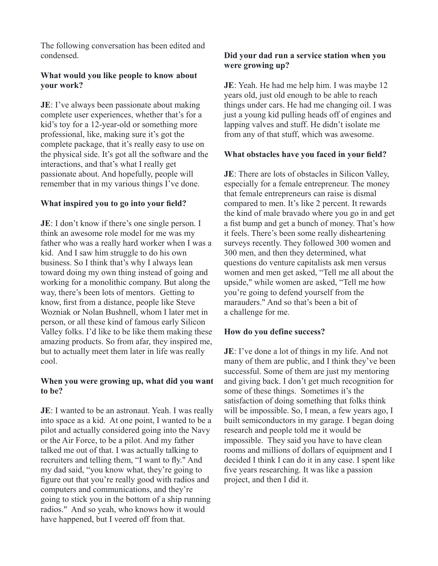The following conversation has been edited and condensed.

#### **What would you like people to know about your work?**

**JE**: I've always been passionate about making complete user experiences, whether that's for a kid's toy for a 12-year-old or something more professional, like, making sure it's got the complete package, that it's really easy to use on the physical side. It's got all the software and the interactions, and that's what I really get passionate about. And hopefully, people will remember that in my various things I've done.

#### **What inspired you to go into your field?**

**JE**: I don't know if there's one single person. I think an awesome role model for me was my father who was a really hard worker when I was a kid. And I saw him struggle to do his own business. So I think that's why I always lean toward doing my own thing instead of going and working for a monolithic company. But along the way, there's been lots of mentors. Getting to know, first from a distance, people like Steve Wozniak or Nolan Bushnell, whom I later met in person, or all these kind of famous early Silicon Valley folks. I'd like to be like them making these amazing products. So from afar, they inspired me, but to actually meet them later in life was really cool.

# **When you were growing up, what did you want to be?**

**JE**: I wanted to be an astronaut. Yeah. I was really into space as a kid. At one point, I wanted to be a pilot and actually considered going into the Navy or the Air Force, to be a pilot. And my father talked me out of that. I was actually talking to recruiters and telling them, "I want to fly." And my dad said, "you know what, they're going to figure out that you're really good with radios and computers and communications, and they're going to stick you in the bottom of a ship running radios." And so yeah, who knows how it would have happened, but I veered off from that.

#### **Did your dad run a service station when you were growing up?**

**JE**: Yeah. He had me help him. I was maybe 12 years old, just old enough to be able to reach things under cars. He had me changing oil. I was just a young kid pulling heads off of engines and lapping valves and stuff. He didn't isolate me from any of that stuff, which was awesome.

# **What obstacles have you faced in your field?**

**JE**: There are lots of obstacles in Silicon Valley, especially for a female entrepreneur. The money that female entrepreneurs can raise is dismal compared to men. It's like 2 percent. It rewards the kind of male bravado where you go in and get a fist bump and get a bunch of money. That's how it feels. There's been some really disheartening surveys recently. They followed 300 women and 300 men, and then they determined, what questions do venture capitalists ask men versus women and men get asked, "Tell me all about the upside," while women are asked, "Tell me how you're going to defend yourself from the marauders." And so that's been a bit of a challenge for me.

#### **How do you define success?**

**JE**: I've done a lot of things in my life. And not many of them are public, and I think they've been successful. Some of them are just my mentoring and giving back. I don't get much recognition for some of these things. Sometimes it's the satisfaction of doing something that folks think will be impossible. So, I mean, a few years ago, I built semiconductors in my garage. I began doing research and people told me it would be impossible. They said you have to have clean rooms and millions of dollars of equipment and I decided I think I can do it in any case. I spent like five years researching. It was like a passion project, and then I did it.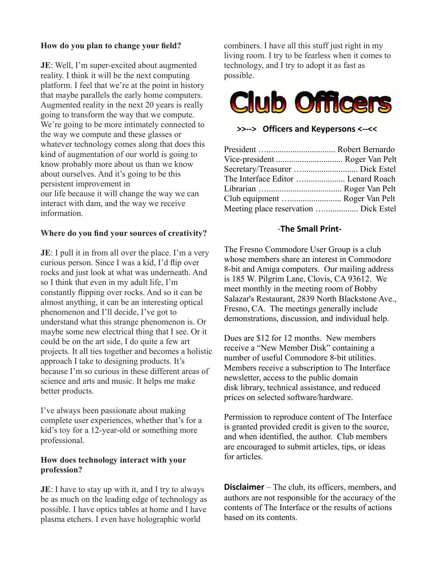# **How do you plan to change your field?**

**JE**: Well, I'm super-excited about augmented reality. I think it will be the next computing platform. I feel that we're at the point in history that maybe parallels the early home computers. Augmented reality in the next 20 years is really going to transform the way that we compute. We're going to be more intimately connected to the way we compute and these glasses or whatever technology comes along that does this kind of augmentation of our world is going to know probably more about us than we know about ourselves. And it's going to be this persistent improvement in our life because it will change the way we can interact with dam, and the way we receive information.

#### **Where do you find your sources of creativity?**

**JE**: I pull it in from all over the place. I'm a very curious person. Since I was a kid, I'd flip over rocks and just look at what was underneath. And so I think that even in my adult life, I'm constantly flipping over rocks. And so it can be almost anything, it can be an interesting optical phenomenon and I'll decide, I've got to understand what this strange phenomenon is. Or maybe some new electrical thing that I see. Or it could be on the art side, I do quite a few art projects. It all ties together and becomes a holistic approach I take to designing products. It's because I'm so curious in these different areas of science and arts and music. It helps me make better products.

I've always been passionate about making complete user experiences, whether that's for a kid's toy for a 12-year-old or something more professional.

# **How does technology interact with your profession?**

**JE**: I have to stay up with it, and I try to always be as much on the leading edge of technology as possible. I have optics tables at home and I have plasma etchers. I even have holographic world

combiners. I have all this stuff just right in my living room. I try to be fearless when it comes to technology, and I try to adopt it as fast as possible.

# **Club Officers**

# **>>--> Officers and Keypersons <--<<**

| Vice-president  Roger Van Pelt        |
|---------------------------------------|
|                                       |
| The Interface Editor  Lenard Roach    |
|                                       |
| Club equipment  Roger Van Pelt        |
| Meeting place reservation  Dick Estel |
|                                       |

# -**The Small Print-**

The Fresno Commodore User Group is a club whose members share an interest in Commodore 8-bit and Amiga computers. Our mailing address is 185 W. Pilgrim Lane, Clovis, CA 93612. We meet monthly in the meeting room of Bobby Salazar's Restaurant, 2839 North Blackstone Ave., Fresno, CA. The meetings generally include demonstrations, discussion, and individual help.

Dues are \$12 for 12 months. New members receive a "New Member Disk" containing a number of useful Commodore 8-bit utilities. Members receive a subscription to The Interface newsletter, access to the public domain disk library, technical assistance, and reduced prices on selected software/hardware.

Permission to reproduce content of The Interface is granted provided credit is given to the source, and when identified, the author. Club members are encouraged to submit articles, tips, or ideas for articles.

**Disclaimer** – The club, its officers, members, and authors are not responsible for the accuracy of the contents of The Interface or the results of actions based on its contents.